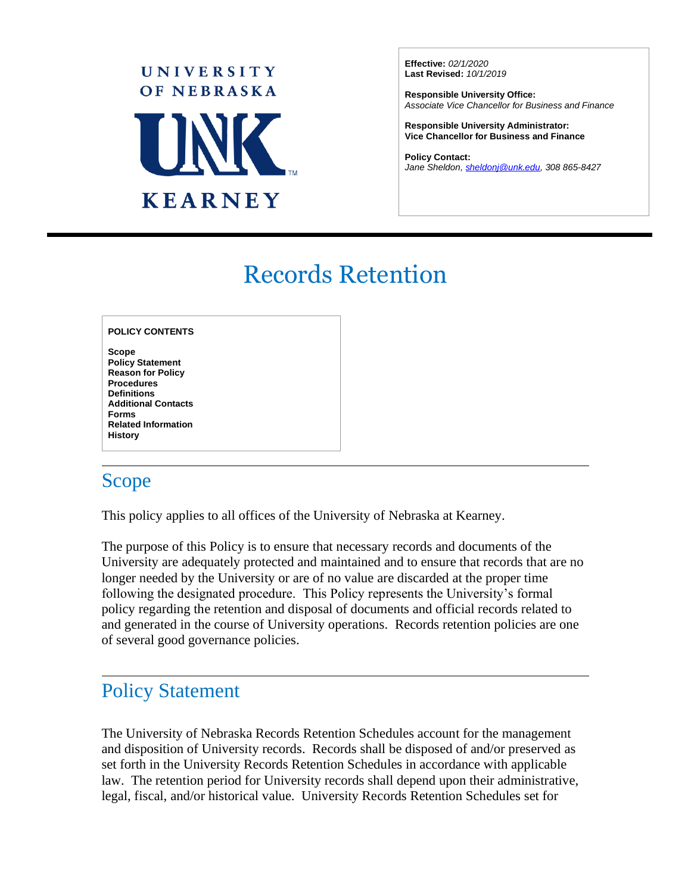

**Effective:** *02/1/2020* **Last Revised:** *10/1/2019*

**Responsible University Office:** *Associate Vice Chancellor for Business and Finance*

**Responsible University Administrator: Vice Chancellor for Business and Finance**

**Policy Contact:** *Jane Sheldon[, sheldonj@unk.edu,](mailto:sheldonj@unk.edu) 308 865-8427*

 $\overline{a}$ 

# Records Retention

| <b>POLICY CONTENTS</b>                                                                                                                                                              |  |
|-------------------------------------------------------------------------------------------------------------------------------------------------------------------------------------|--|
| <b>Scope</b><br><b>Policy Statement</b><br><b>Reason for Policy</b><br><b>Procedures</b><br><b>Definitions</b><br><b>Additional Contacts</b><br>Forms<br><b>Related Information</b> |  |
| <b>History</b>                                                                                                                                                                      |  |

### Scope

This policy applies to all offices of the University of Nebraska at Kearney.

The purpose of this Policy is to ensure that necessary records and documents of the University are adequately protected and maintained and to ensure that records that are no longer needed by the University or are of no value are discarded at the proper time following the designated procedure. This Policy represents the University's formal policy regarding the retention and disposal of documents and official records related to and generated in the course of University operations. Records retention policies are one of several good governance policies.

### Policy Statement

The University of Nebraska Records Retention Schedules account for the management and disposition of University records. Records shall be disposed of and/or preserved as set forth in the University Records Retention Schedules in accordance with applicable law. The retention period for University records shall depend upon their administrative, legal, fiscal, and/or historical value. University Records Retention Schedules set for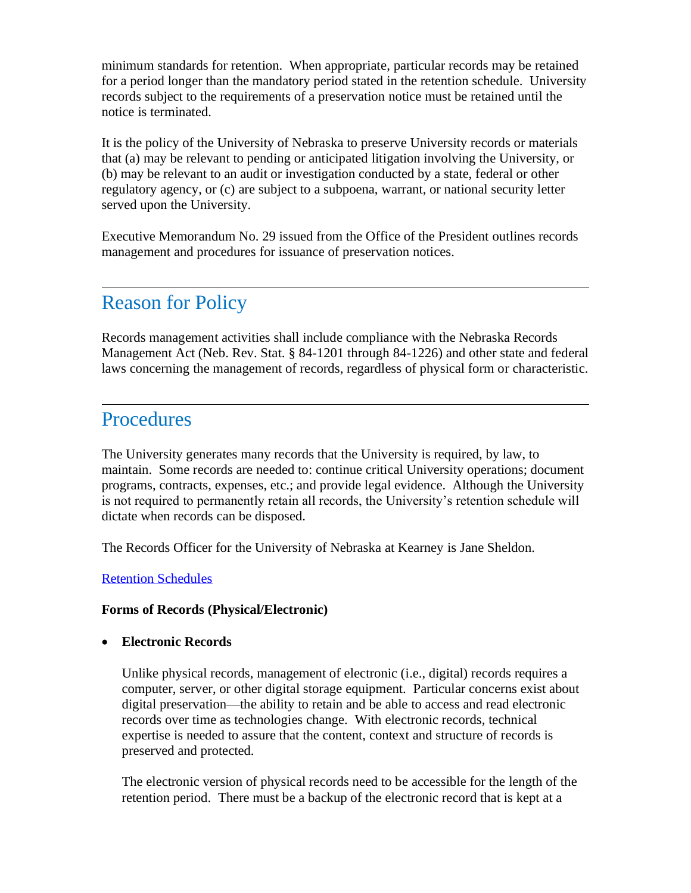minimum standards for retention. When appropriate, particular records may be retained for a period longer than the mandatory period stated in the retention schedule. University records subject to the requirements of a preservation notice must be retained until the notice is terminated.

It is the policy of the University of Nebraska to preserve University records or materials that (a) may be relevant to pending or anticipated litigation involving the University, or (b) may be relevant to an audit or investigation conducted by a state, federal or other regulatory agency, or (c) are subject to a subpoena, warrant, or national security letter served upon the University.

Executive Memorandum No. 29 issued from the Office of the President outlines records management and procedures for issuance of preservation notices.

### Reason for Policy

Records management activities shall include compliance with the Nebraska Records Management Act (Neb. Rev. Stat. § 84-1201 through 84-1226) and other state and federal laws concerning the management of records, regardless of physical form or characteristic.

### **Procedures**

The University generates many records that the University is required, by law, to maintain. Some records are needed to: continue critical University operations; document programs, contracts, expenses, etc.; and provide legal evidence. Although the University is not required to permanently retain all records, the University's retention schedule will dictate when records can be disposed.

The Records Officer for the University of Nebraska at Kearney is Jane Sheldon.

[Retention Schedules](http://www.sos.ne.gov/records-management/schedule_170.html)

#### **Forms of Records (Physical/Electronic)**

• **Electronic Records**

Unlike physical records, management of electronic (i.e., digital) records requires a computer, server, or other digital storage equipment. Particular concerns exist about digital preservation—the ability to retain and be able to access and read electronic records over time as technologies change. With electronic records, technical expertise is needed to assure that the content, context and structure of records is preserved and protected.

The electronic version of physical records need to be accessible for the length of the retention period. There must be a backup of the electronic record that is kept at a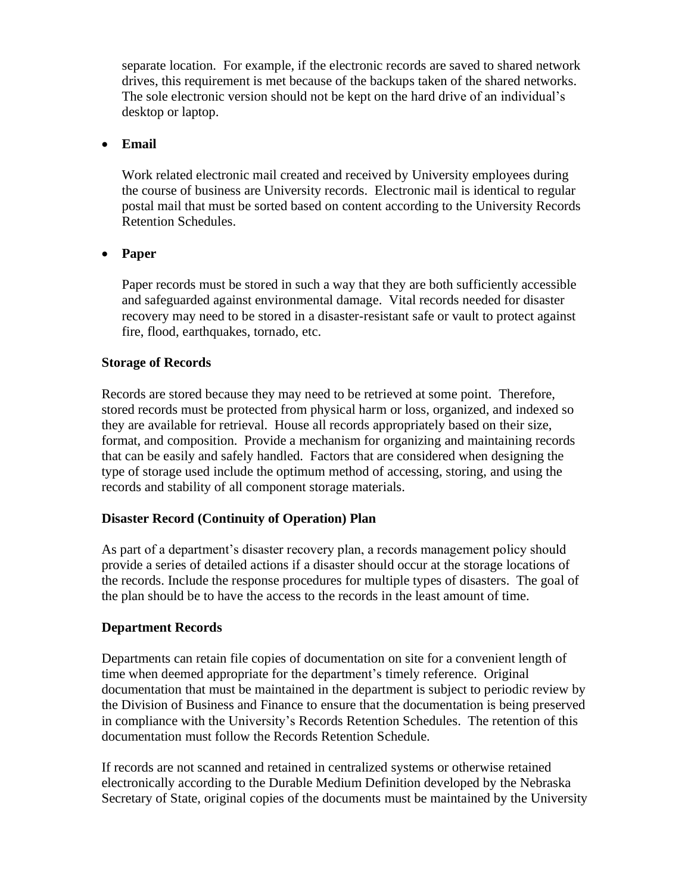separate location. For example, if the electronic records are saved to shared network drives, this requirement is met because of the backups taken of the shared networks. The sole electronic version should not be kept on the hard drive of an individual's desktop or laptop.

#### • **Email**

Work related electronic mail created and received by University employees during the course of business are University records. Electronic mail is identical to regular postal mail that must be sorted based on content according to the University Records Retention Schedules.

#### • **Paper**

Paper records must be stored in such a way that they are both sufficiently accessible and safeguarded against environmental damage. Vital records needed for disaster recovery may need to be stored in a disaster-resistant safe or vault to protect against fire, flood, earthquakes, tornado, etc.

#### **Storage of Records**

Records are stored because they may need to be retrieved at some point. Therefore, stored records must be protected from physical harm or loss, organized, and indexed so they are available for retrieval. House all records appropriately based on their size, format, and composition. Provide a mechanism for organizing and maintaining records that can be easily and safely handled. Factors that are considered when designing the type of storage used include the optimum method of accessing, storing, and using the records and stability of all component storage materials.

#### **Disaster Record (Continuity of Operation) Plan**

As part of a department's disaster recovery plan, a records management policy should provide a series of detailed actions if a disaster should occur at the storage locations of the records. Include the response procedures for multiple types of disasters. The goal of the plan should be to have the access to the records in the least amount of time.

#### **Department Records**

Departments can retain file copies of documentation on site for a convenient length of time when deemed appropriate for the department's timely reference. Original documentation that must be maintained in the department is subject to periodic review by the Division of Business and Finance to ensure that the documentation is being preserved in compliance with the University's Records Retention Schedules. The retention of this documentation must follow the Records Retention Schedule.

If records are not scanned and retained in centralized systems or otherwise retained electronically according to the Durable Medium Definition developed by the Nebraska Secretary of State, original copies of the documents must be maintained by the University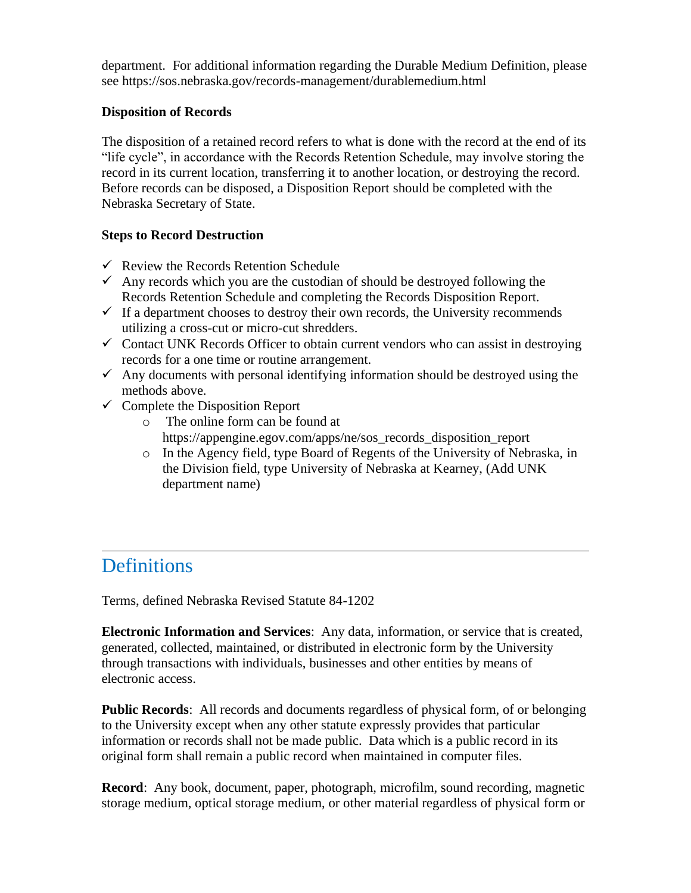department. For additional information regarding the Durable Medium Definition, please see https://sos.nebraska.gov/records-management/durablemedium.html

#### **Disposition of Records**

The disposition of a retained record refers to what is done with the record at the end of its "life cycle", in accordance with the Records Retention Schedule, may involve storing the record in its current location, transferring it to another location, or destroying the record. Before records can be disposed, a Disposition Report should be completed with the Nebraska Secretary of State.

#### **Steps to Record Destruction**

- $\checkmark$  Review the Records Retention Schedule
- $\checkmark$  Any records which you are the custodian of should be destroyed following the Records Retention Schedule and completing the Records Disposition Report.
- $\checkmark$  If a department chooses to destroy their own records, the University recommends utilizing a cross-cut or micro-cut shredders.
- $\checkmark$  Contact UNK Records Officer to obtain current vendors who can assist in destroying records for a one time or routine arrangement.
- $\checkmark$  Any documents with personal identifying information should be destroyed using the methods above.
- $\checkmark$  Complete the Disposition Report
	- o The online form can be found at https://appengine.egov.com/apps/ne/sos\_records\_disposition\_report
	- o In the Agency field, type Board of Regents of the University of Nebraska, in the Division field, type University of Nebraska at Kearney, (Add UNK department name)

## **Definitions**

Terms, defined Nebraska Revised Statute 84-1202

**Electronic Information and Services**: Any data, information, or service that is created, generated, collected, maintained, or distributed in electronic form by the University through transactions with individuals, businesses and other entities by means of electronic access.

**Public Records**: All records and documents regardless of physical form, of or belonging to the University except when any other statute expressly provides that particular information or records shall not be made public. Data which is a public record in its original form shall remain a public record when maintained in computer files.

**Record**: Any book, document, paper, photograph, microfilm, sound recording, magnetic storage medium, optical storage medium, or other material regardless of physical form or